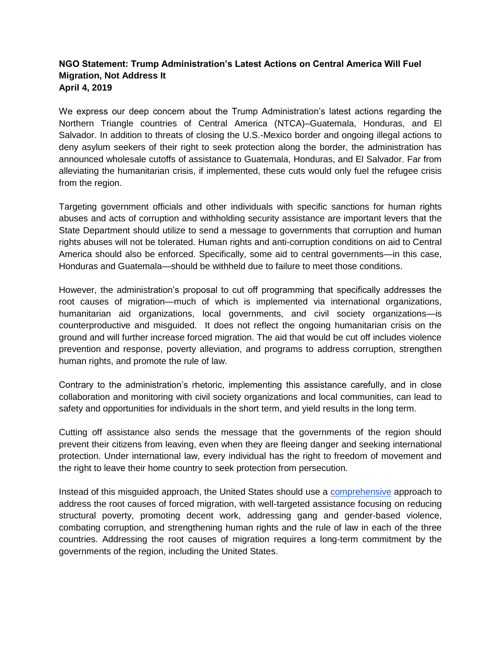## **NGO Statement: Trump Administration's Latest Actions on Central America Will Fuel Migration, Not Address It April 4, 2019**

We express our deep concern about the Trump Administration's latest actions regarding the Northern Triangle countries of Central America (NTCA)–Guatemala, Honduras, and El Salvador. In addition to threats of closing the U.S.-Mexico border and ongoing illegal actions to deny asylum seekers of their right to seek protection along the border, the administration has announced wholesale cutoffs of assistance to Guatemala, Honduras, and El Salvador. Far from alleviating the humanitarian crisis, if implemented, these cuts would only fuel the refugee crisis from the region.

Targeting government officials and other individuals with specific sanctions for human rights abuses and acts of corruption and withholding security assistance are important levers that the State Department should utilize to send a message to governments that corruption and human rights abuses will not be tolerated. Human rights and anti-corruption conditions on aid to Central America should also be enforced. Specifically, some aid to central governments—in this case, Honduras and Guatemala—should be withheld due to failure to meet those conditions.

However, the administration's proposal to cut off programming that specifically addresses the root causes of migration—much of which is implemented via international organizations, humanitarian aid organizations, local governments, and civil society organizations—is counterproductive and misguided. It does not reflect the ongoing humanitarian crisis on the ground and will further increase forced migration. The aid that would be cut off includes violence prevention and response, poverty alleviation, and programs to address corruption, strengthen human rights, and promote the rule of law.

Contrary to the administration's rhetoric, implementing this assistance carefully, and in close collaboration and monitoring with civil society organizations and local communities, can lead to safety and opportunities for individuals in the short term, and yield results in the long term.

Cutting off assistance also sends the message that the governments of the region should prevent their citizens from leaving, even when they are fleeing danger and seeking international protection. Under international law, every individual has the right to freedom of movement and the right to leave their home country to seek protection from persecution.

Instead of this misguided approach, the United States should use a [comprehensive](https://www.lawg.org/centamrecs19/) approach to address the root causes of forced migration, with well-targeted assistance focusing on reducing structural poverty, promoting decent work, addressing gang and gender-based violence, combating corruption, and strengthening human rights and the rule of law in each of the three countries. Addressing the root causes of migration requires a long-term commitment by the governments of the region, including the United States.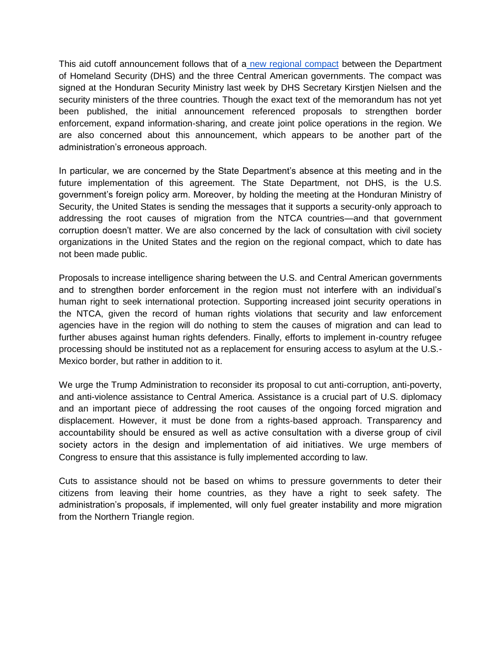This aid cutoff announcement follows that of a [new regional compact](https://www.dhs.gov/news/2019/03/28/secretary-nielsen-signs-historic-regional-compact-central-america-stem-irregular) between the Department of Homeland Security (DHS) and the three Central American governments. The compact was signed at the Honduran Security Ministry last week by DHS Secretary Kirstjen Nielsen and the security ministers of the three countries. Though the exact text of the memorandum has not vet been published, the initial announcement referenced proposals to strengthen border enforcement, expand information-sharing, and create joint police operations in the region. We are also concerned about this announcement, which appears to be another part of the administration's erroneous approach.

In particular, we are concerned by the State Department's absence at this meeting and in the future implementation of this agreement. The State Department, not DHS, is the U.S. government's foreign policy arm. Moreover, by holding the meeting at the Honduran Ministry of Security, the United States is sending the messages that it supports a security-only approach to addressing the root causes of migration from the NTCA countries—and that government corruption doesn't matter. We are also concerned by the lack of consultation with civil society organizations in the United States and the region on the regional compact, which to date has not been made public.

Proposals to increase intelligence sharing between the U.S. and Central American governments and to strengthen border enforcement in the region must not interfere with an individual's human right to seek international protection. Supporting increased joint security operations in the NTCA, given the record of human rights violations that security and law enforcement agencies have in the region will do nothing to stem the causes of migration and can lead to further abuses against human rights defenders. Finally, efforts to implement in-country refugee processing should be instituted not as a replacement for ensuring access to asylum at the U.S.- Mexico border, but rather in addition to it.

We urge the Trump Administration to reconsider its proposal to cut anti-corruption, anti-poverty, and anti-violence assistance to Central America. Assistance is a crucial part of U.S. diplomacy and an important piece of addressing the root causes of the ongoing forced migration and displacement. However, it must be done from a rights-based approach. Transparency and accountability should be ensured as well as active consultation with a diverse group of civil society actors in the design and implementation of aid initiatives. We urge members of Congress to ensure that this assistance is fully implemented according to law.

Cuts to assistance should not be based on whims to pressure governments to deter their citizens from leaving their home countries, as they have a right to seek safety. The administration's proposals, if implemented, will only fuel greater instability and more migration from the Northern Triangle region.